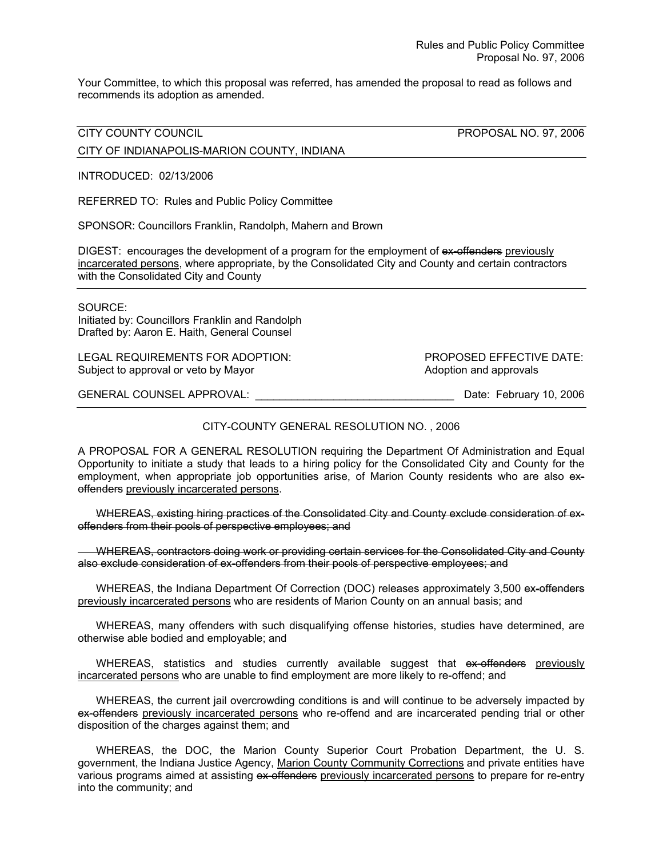Your Committee, to which this proposal was referred, has amended the proposal to read as follows and recommends its adoption as amended.

CITY COUNTY COUNCIL PROPOSAL NO. 97, 2006

CITY OF INDIANAPOLIS-MARION COUNTY, INDIANA

INTRODUCED: 02/13/2006

REFERRED TO: Rules and Public Policy Committee

SPONSOR: Councillors Franklin, Randolph, Mahern and Brown

DIGEST: encourages the development of a program for the employment of ex-offenders previously incarcerated persons, where appropriate, by the Consolidated City and County and certain contractors with the Consolidated City and County

SOURCE:

Initiated by: Councillors Franklin and Randolph Drafted by: Aaron E. Haith, General Counsel

LEGAL REQUIREMENTS FOR ADOPTION: PROPOSED EFFECTIVE DATE: Subject to approval or veto by Mayor **Adoption and approvals** Adoption and approvals

GENERAL COUNSEL APPROVAL: \_\_\_\_\_\_\_\_\_\_\_\_\_\_\_\_\_\_\_\_\_\_\_\_\_\_\_\_\_\_\_\_\_ Date: February 10, 2006

## CITY-COUNTY GENERAL RESOLUTION NO. , 2006

A PROPOSAL FOR A GENERAL RESOLUTION requiring the Department Of Administration and Equal Opportunity to initiate a study that leads to a hiring policy for the Consolidated City and County for the employment, when appropriate job opportunities arise, of Marion County residents who are also exoffenders previously incarcerated persons.

 WHEREAS, existing hiring practices of the Consolidated City and County exclude consideration of exoffenders from their pools of perspective employees; and

WHEREAS, contractors doing work or providing certain services for the Consolidated City and County also exclude consideration of ex-offenders from their pools of perspective employees; and

WHEREAS, the Indiana Department Of Correction (DOC) releases approximately 3,500 ex-offenders previously incarcerated persons who are residents of Marion County on an annual basis; and

 WHEREAS, many offenders with such disqualifying offense histories, studies have determined, are otherwise able bodied and employable; and

WHEREAS, statistics and studies currently available suggest that ex-offenders previously incarcerated persons who are unable to find employment are more likely to re-offend; and

 WHEREAS, the current jail overcrowding conditions is and will continue to be adversely impacted by ex-offenders previously incarcerated persons who re-offend and are incarcerated pending trial or other disposition of the charges against them; and

 WHEREAS, the DOC, the Marion County Superior Court Probation Department, the U. S. government, the Indiana Justice Agency, Marion County Community Corrections and private entities have various programs aimed at assisting ex-offenders previously incarcerated persons to prepare for re-entry into the community; and